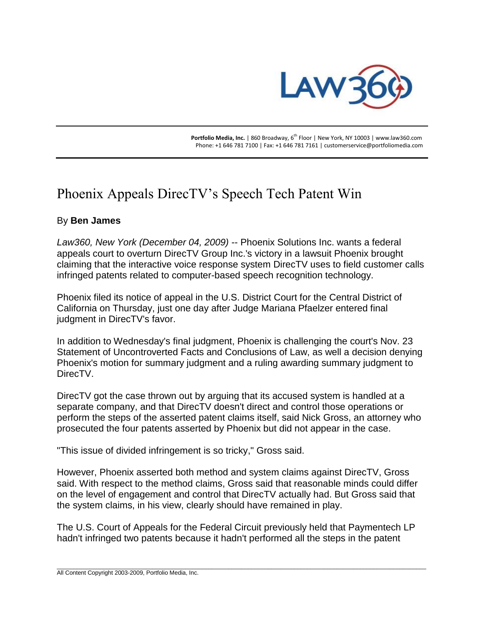

**Portfolio Media, Inc.** | 860 Broadway, 6<sup>th</sup> Floor | New York, NY 10003 | www.law360.com Phone: +1 646 781 7100 | Fax: +1 646 781 7161 | customerservice@portfoliomedia.com

## Phoenix Appeals DirecTV's Speech Tech Patent Win

## By **Ben James**

*Law360, New York (December 04, 2009)* -- Phoenix Solutions Inc. wants a federal appeals court to overturn DirecTV Group Inc.'s victory in a lawsuit Phoenix brought claiming that the interactive voice response system DirecTV uses to field customer calls infringed patents related to computer-based speech recognition technology.

Phoenix filed its notice of appeal in the U.S. District Court for the Central District of California on Thursday, just one day after Judge Mariana Pfaelzer entered final judgment in DirecTV's favor.

In addition to Wednesday's final judgment, Phoenix is challenging the court's Nov. 23 Statement of Uncontroverted Facts and Conclusions of Law, as well a decision denying Phoenix's motion for summary judgment and a ruling awarding summary judgment to DirecTV.

DirecTV got the case thrown out by arguing that its accused system is handled at a separate company, and that DirecTV doesn't direct and control those operations or perform the steps of the asserted patent claims itself, said Nick Gross, an attorney who prosecuted the four patents asserted by Phoenix but did not appear in the case.

"This issue of divided infringement is so tricky," Gross said.

However, Phoenix asserted both method and system claims against DirecTV, Gross said. With respect to the method claims, Gross said that reasonable minds could differ on the level of engagement and control that DirecTV actually had. But Gross said that the system claims, in his view, clearly should have remained in play.

The U.S. Court of Appeals for the Federal Circuit previously held that Paymentech LP hadn't infringed two patents because it hadn't performed all the steps in the patent

\_\_\_\_\_\_\_\_\_\_\_\_\_\_\_\_\_\_\_\_\_\_\_\_\_\_\_\_\_\_\_\_\_\_\_\_\_\_\_\_\_\_\_\_\_\_\_\_\_\_\_\_\_\_\_\_\_\_\_\_\_\_\_\_\_\_\_\_\_\_\_\_\_\_\_\_\_\_\_\_\_\_\_\_\_\_\_\_\_\_\_\_\_\_\_\_\_\_\_\_\_\_\_\_\_\_\_\_\_\_\_\_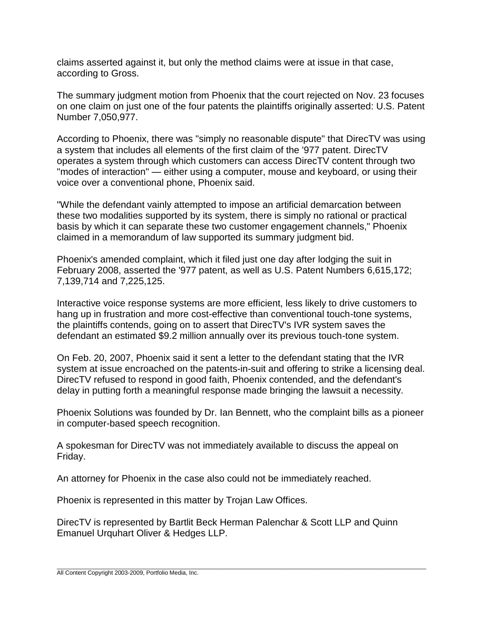claims asserted against it, but only the method claims were at issue in that case, according to Gross.

The summary judgment motion from Phoenix that the court rejected on Nov. 23 focuses on one claim on just one of the four patents the plaintiffs originally asserted: U.S. Patent Number 7,050,977.

According to Phoenix, there was "simply no reasonable dispute" that DirecTV was using a system that includes all elements of the first claim of the '977 patent. DirecTV operates a system through which customers can access DirecTV content through two "modes of interaction" — either using a computer, mouse and keyboard, or using their voice over a conventional phone, Phoenix said.

"While the defendant vainly attempted to impose an artificial demarcation between these two modalities supported by its system, there is simply no rational or practical basis by which it can separate these two customer engagement channels," Phoenix claimed in a memorandum of law supported its summary judgment bid.

Phoenix's amended complaint, which it filed just one day after lodging the suit in February 2008, asserted the '977 patent, as well as U.S. Patent Numbers 6,615,172; 7,139,714 and 7,225,125.

Interactive voice response systems are more efficient, less likely to drive customers to hang up in frustration and more cost-effective than conventional touch-tone systems, the plaintiffs contends, going on to assert that DirecTV's IVR system saves the defendant an estimated \$9.2 million annually over its previous touch-tone system.

On Feb. 20, 2007, Phoenix said it sent a letter to the defendant stating that the IVR system at issue encroached on the patents-in-suit and offering to strike a licensing deal. DirecTV refused to respond in good faith, Phoenix contended, and the defendant's delay in putting forth a meaningful response made bringing the lawsuit a necessity.

Phoenix Solutions was founded by Dr. Ian Bennett, who the complaint bills as a pioneer in computer-based speech recognition.

A spokesman for DirecTV was not immediately available to discuss the appeal on Friday.

An attorney for Phoenix in the case also could not be immediately reached.

Phoenix is represented in this matter by Trojan Law Offices.

DirecTV is represented by Bartlit Beck Herman Palenchar & Scott LLP and Quinn Emanuel Urquhart Oliver & Hedges LLP.

\_\_\_\_\_\_\_\_\_\_\_\_\_\_\_\_\_\_\_\_\_\_\_\_\_\_\_\_\_\_\_\_\_\_\_\_\_\_\_\_\_\_\_\_\_\_\_\_\_\_\_\_\_\_\_\_\_\_\_\_\_\_\_\_\_\_\_\_\_\_\_\_\_\_\_\_\_\_\_\_\_\_\_\_\_\_\_\_\_\_\_\_\_\_\_\_\_\_\_\_\_\_\_\_\_\_\_\_\_\_\_\_ All Content Copyright 2003-2009, Portfolio Media, Inc.